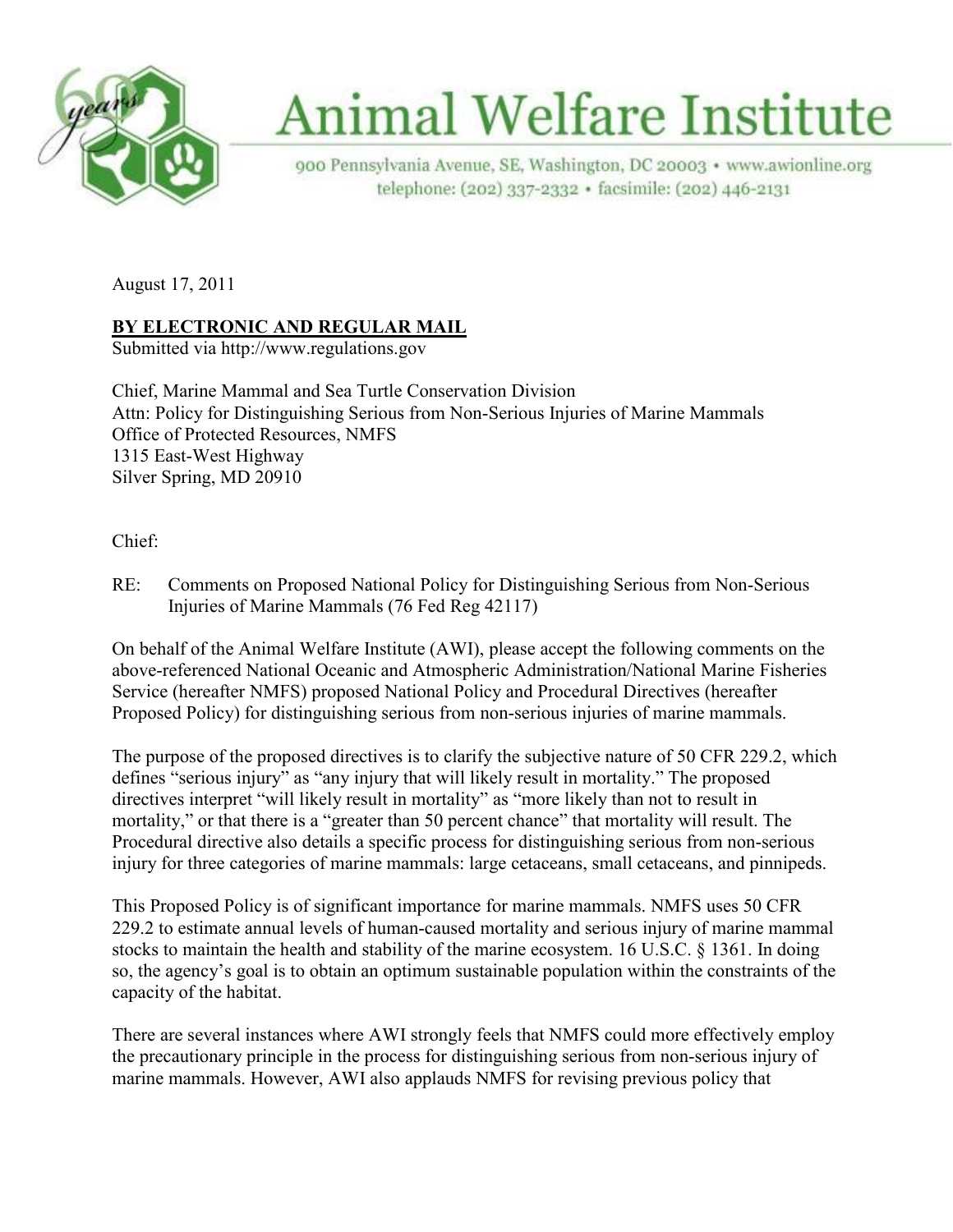

# **Animal Welfare Institute**

900 Pennsylvania Avenue, SE, Washington, DC 20003 · www.awionline.org telephone: (202) 337-2332 · facsimile: (202) 446-2131

August 17, 2011

## **<u>BY ELECTRONIC AND REGULAR MAIL</u>**

Submitted via http://www.regulations.gov

Chief, Marine Mammal and Sea Turtle Conservation Division Attn: Policy for Distinguishing Serious from Non-Serious Injuries of Marine Mammals Office of Protected Resources, NMFS 1315 East-West Highway Silver Spring, MD 20910

Chief:

RE: Comments on Proposed National Policy for Distinguishing Serious from Non-Serious Injuries of Marine Mammals (76 Fed Reg 42117)

On behalf of the Animal Welfare Institute (AWI), please accept the following comments on the above-referenced National Oceanic and Atmospheric Administration/National Marine Fisheries Service (hereafter NMFS) proposed National Policy and Procedural Directives (hereafter Proposed Policy) for distinguishing serious from non-serious injuries of marine mammals.

The purpose of the proposed directives is to clarify the subjective nature of 50 CFR 229.2, which defines "serious injury" as "any injury that will likely result in mortality." The proposed directives interpret "will likely result in mortality" as "more likely than not to result in mortality," or that there is a "greater than 50 percent chance" that mortality will result. The Procedural directive also details a specific process for distinguishing serious from non-serious injury for three categories of marine mammals: large cetaceans, small cetaceans, and pinnipeds.

This Proposed Policy is of significant importance for marine mammals. NMFS uses 50 CFR 229.2 to estimate annual levels of human-caused mortality and serious injury of marine mammal stocks to maintain the health and stability of the marine ecosystem. 16 U.S.C. § 1361. In doing so, the agency's goal is to obtain an optimum sustainable population within the constraints of the capacity of the habitat.

There are several instances where AWI strongly feels that NMFS could more effectively employ the precautionary principle in the process for distinguishing serious from non-serious injury of marine mammals. However, AWI also applauds NMFS for revising previous policy that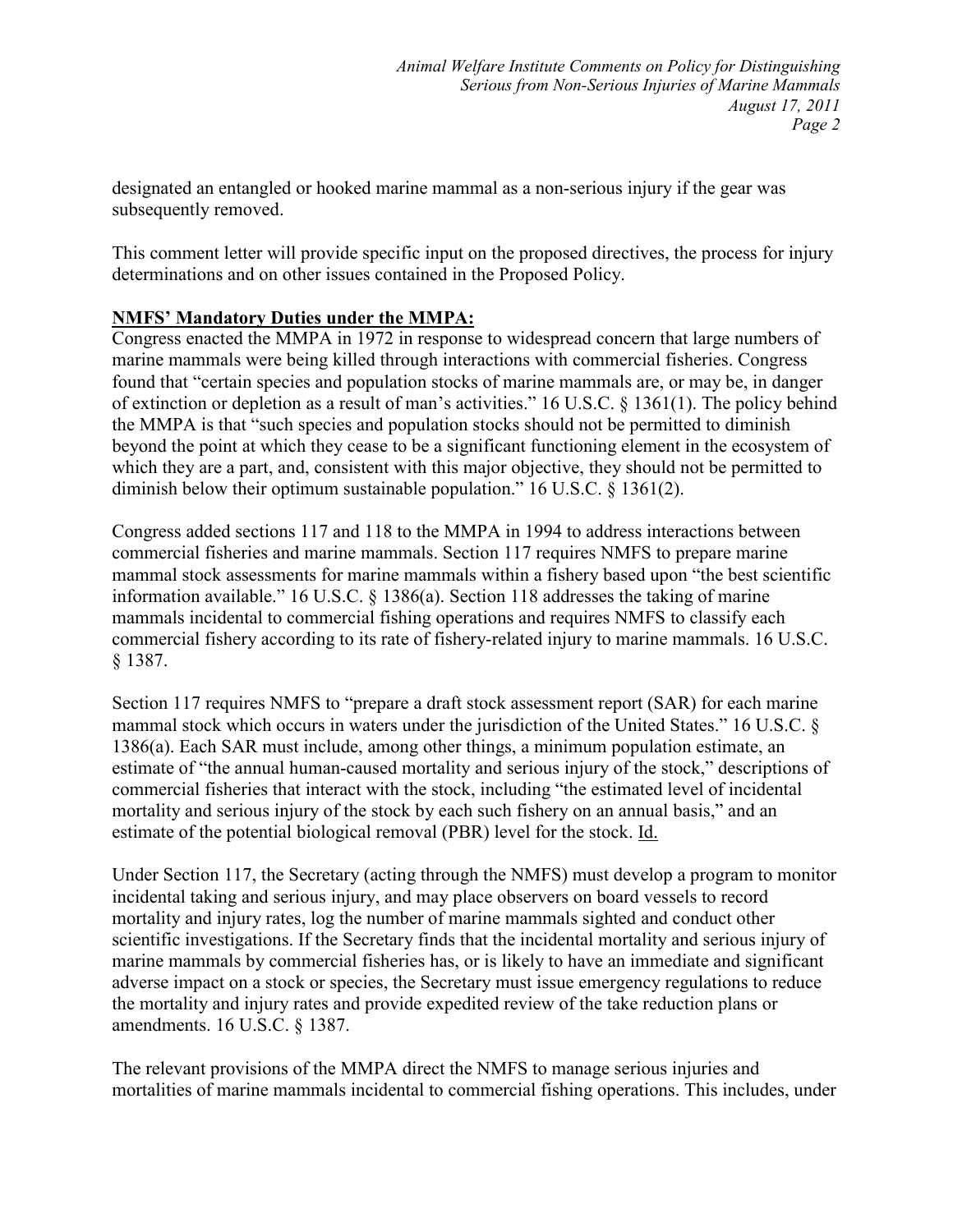designated an entangled or hooked marine mammal as a non-serious injury if the gear was subsequently removed.

This comment letter will provide specific input on the proposed directives, the process for injury determinations and on other issues contained in the Proposed Policy.

## **MFS' Mandatory Duties under the MMPA:**

Congress enacted the MMPA in 1972 in response to widespread concern that large numbers of marine mammals were being killed through interactions with commercial fisheries. Congress found that "certain species and population stocks of marine mammals are, or may be, in danger of extinction or depletion as a result of man's activities." 16 U.S.C. § 1361(1). The policy behind the MMPA is that "such species and population stocks should not be permitted to diminish beyond the point at which they cease to be a significant functioning element in the ecosystem of which they are a part, and, consistent with this major objective, they should not be permitted to diminish below their optimum sustainable population." 16 U.S.C. § 1361(2).

Congress added sections 117 and 118 to the MMPA in 1994 to address interactions between commercial fisheries and marine mammals. Section 117 requires NMFS to prepare marine mammal stock assessments for marine mammals within a fishery based upon "the best scientific information available." 16 U.S.C. § 1386(a). Section 118 addresses the taking of marine mammals incidental to commercial fishing operations and requires NMFS to classify each commercial fishery according to its rate of fishery-related injury to marine mammals. 16 U.S.C. § 1387.

Section 117 requires NMFS to "prepare a draft stock assessment report (SAR) for each marine mammal stock which occurs in waters under the jurisdiction of the United States." 16 U.S.C. § 1386(a). Each SAR must include, among other things, a minimum population estimate, an estimate of "the annual human-caused mortality and serious injury of the stock," descriptions of commercial fisheries that interact with the stock, including "the estimated level of incidental mortality and serious injury of the stock by each such fishery on an annual basis," and an estimate of the potential biological removal (PBR) level for the stock. Id.

Under Section 117, the Secretary (acting through the NMFS) must develop a program to monitor incidental taking and serious injury, and may place observers on board vessels to record mortality and injury rates, log the number of marine mammals sighted and conduct other scientific investigations. If the Secretary finds that the incidental mortality and serious injury of marine mammals by commercial fisheries has, or is likely to have an immediate and significant adverse impact on a stock or species, the Secretary must issue emergency regulations to reduce the mortality and injury rates and provide expedited review of the take reduction plans or amendments. 16 U.S.C. § 1387.

The relevant provisions of the MMPA direct the NMFS to manage serious injuries and mortalities of marine mammals incidental to commercial fishing operations. This includes, under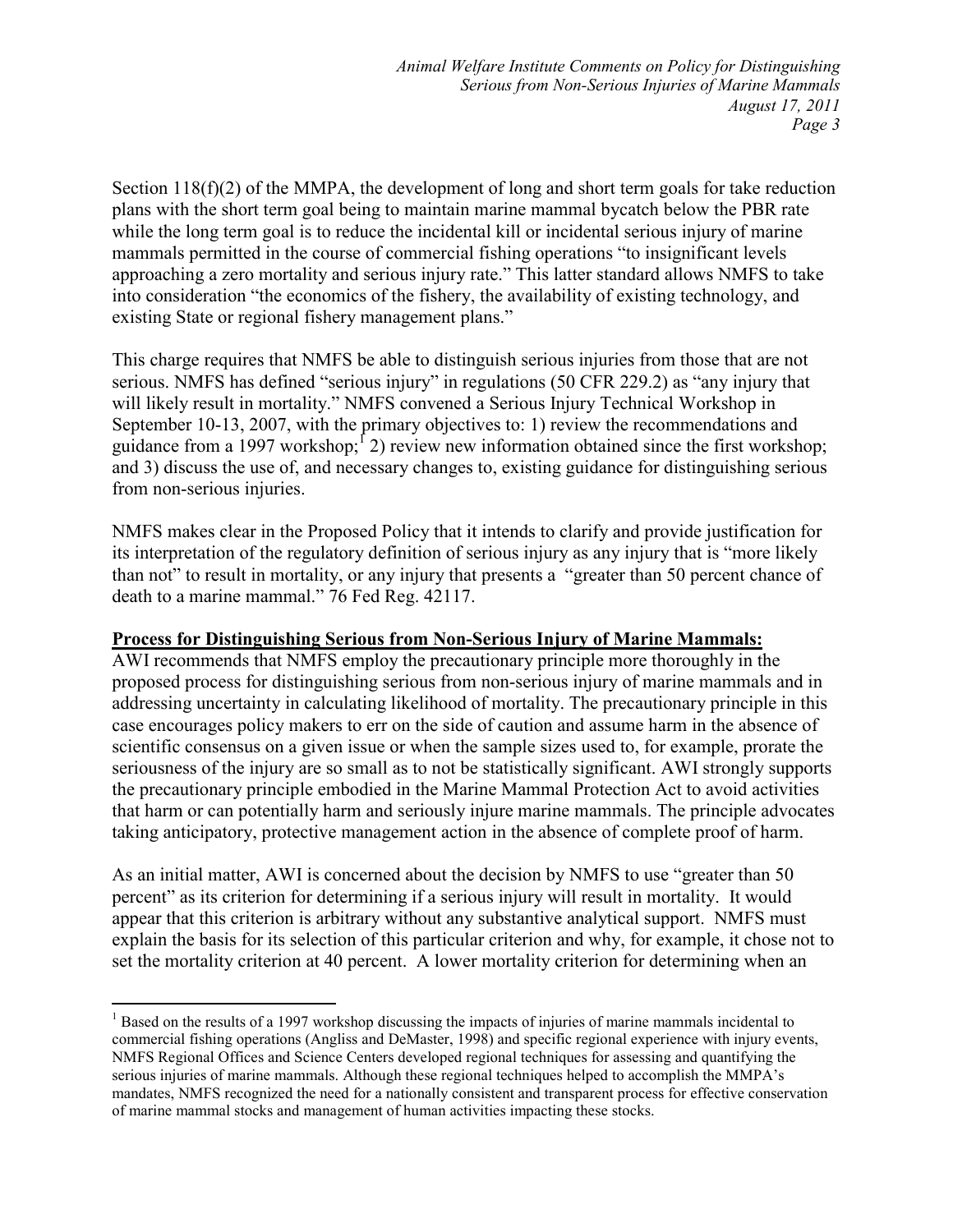Section 118(f)(2) of the MMPA, the development of long and short term goals for take reduction plans with the short term goal being to maintain marine mammal bycatch below the PBR rate while the long term goal is to reduce the incidental kill or incidental serious injury of marine mammals permitted in the course of commercial fishing operations "to insignificant levels approaching a zero mortality and serious injury rate." This latter standard allows NMFS to take into consideration "the economics of the fishery, the availability of existing technology, and existing State or regional fishery management plans."

This charge requires that NMFS be able to distinguish serious injuries from those that are not serious. NMFS has defined "serious injury" in regulations (50 CFR 229.2) as "any injury that will likely result in mortality." NMFS convened a Serious Injury Technical Workshop in September 10-13, 2007, with the primary objectives to: 1) review the recommendations and guidance from a 1997 workshop;  $\left(2\right)$  review new information obtained since the first workshop; and 3) discuss the use of, and necessary changes to, existing guidance for distinguishing serious from non-serious injuries.

NMFS makes clear in the Proposed Policy that it intends to clarify and provide justification for its interpretation of the regulatory definition of serious injury as any injury that is "more likely than not" to result in mortality, or any injury that presents a "greater than 50 percent chance of death to a marine mammal." 76 Fed Reg. 42117.

## **Process for Distinguishing Serious from Non-Serious Injury of Marine Mammals:**

AWI recommends that NMFS employ the precautionary principle more thoroughly in the proposed process for distinguishing serious from non-serious injury of marine mammals and in addressing uncertainty in calculating likelihood of mortality. The precautionary principle in this case encourages policy makers to err on the side of caution and assume harm in the absence of scientific consensus on a given issue or when the sample sizes used to, for example, prorate the seriousness of the injury are so small as to not be statistically significant. AWI strongly supports the precautionary principle embodied in the Marine Mammal Protection Act to avoid activities that harm or can potentially harm and seriously injure marine mammals. The principle advocates taking anticipatory, protective management action in the absence of complete proof of harm.

As an initial matter, AWI is concerned about the decision by NMFS to use "greater than 50 percent" as its criterion for determining if a serious injury will result in mortality. It would appear that this criterion is arbitrary without any substantive analytical support. NMFS must explain the basis for its selection of this particular criterion and why, for example, it chose not to set the mortality criterion at 40 percent. A lower mortality criterion for determining when an

 $\overline{a}$ <sup>1</sup> Based on the results of a 1997 workshop discussing the impacts of injuries of marine mammals incidental to commercial fishing operations (Angliss and DeMaster, 1998) and specific regional experience with injury events, NMFS Regional Offices and Science Centers developed regional techniques for assessing and quantifying the serious injuries of marine mammals. Although these regional techniques helped to accomplish the MMPA's mandates, NMFS recognized the need for a nationally consistent and transparent process for effective conservation of marine mammal stocks and management of human activities impacting these stocks.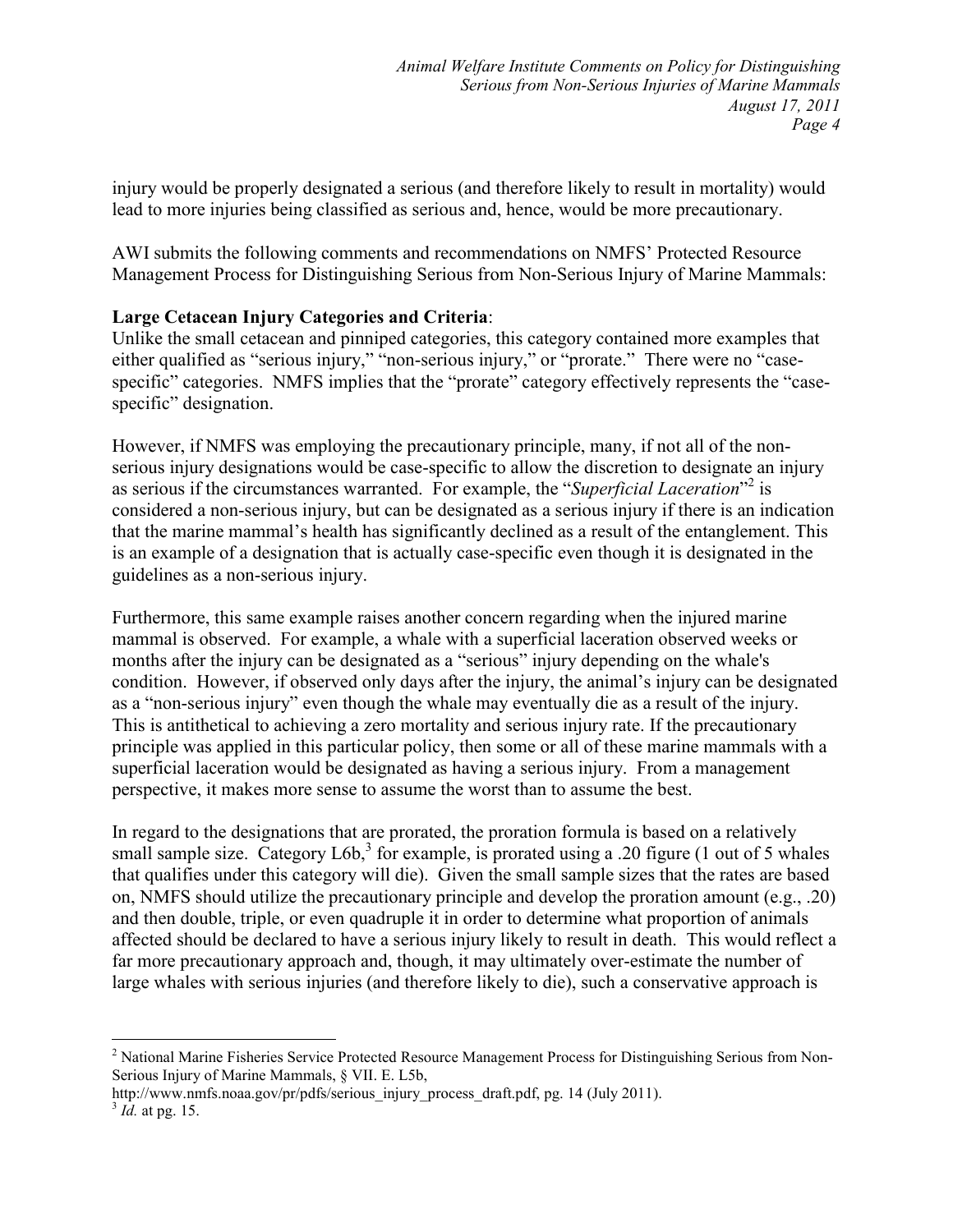injury would be properly designated a serious (and therefore likely to result in mortality) would lead to more injuries being classified as serious and, hence, would be more precautionary.

AWI submits the following comments and recommendations on NMFS' Protected Resource Management Process for Distinguishing Serious from Non-Serious Injury of Marine Mammals:

### **Large Cetacean Injury Categories and Criteria**:

Unlike the small cetacean and pinniped categories, this category contained more examples that either qualified as "serious injury," "non-serious injury," or "prorate." There were no "casespecific" categories. NMFS implies that the "prorate" category effectively represents the "casespecific" designation.

However, if NMFS was employing the precautionary principle, many, if not all of the nonserious injury designations would be case-specific to allow the discretion to designate an injury as serious if the circumstances warranted. For example, the "Superficial Laceration"<sup>2</sup> is considered a non-serious injury, but can be designated as a serious injury if there is an indication that the marine mammal's health has significantly declined as a result of the entanglement. This is an example of a designation that is actually case-specific even though it is designated in the guidelines as a non-serious injury.

Furthermore, this same example raises another concern regarding when the injured marine mammal is observed. For example, a whale with a superficial laceration observed weeks or months after the injury can be designated as a "serious" injury depending on the whale's condition. However, if observed only days after the injury, the animal's injury can be designated as a "non-serious injury" even though the whale may eventually die as a result of the injury. This is antithetical to achieving a zero mortality and serious injury rate. If the precautionary principle was applied in this particular policy, then some or all of these marine mammals with a superficial laceration would be designated as having a serious injury. From a management perspective, it makes more sense to assume the worst than to assume the best.

In regard to the designations that are prorated, the proration formula is based on a relatively small sample size. Category L6b,<sup>3</sup> for example, is prorated using a .20 figure (1 out of 5 whales that qualifies under this category will die). Given the small sample sizes that the rates are based on, NMFS should utilize the precautionary principle and develop the proration amount (e.g., .20) and then double, triple, or even quadruple it in order to determine what proportion of animals affected should be declared to have a serious injury likely to result in death. This would reflect a far more precautionary approach and, though, it may ultimately over-estimate the number of large whales with serious injuries (and therefore likely to die), such a conservative approach is

http://www.nmfs.noaa.gov/pr/pdfs/serious\_injury\_process\_draft.pdf, pg. 14 (July 2011).

-

<sup>&</sup>lt;sup>2</sup> National Marine Fisheries Service Protected Resource Management Process for Distinguishing Serious from Non-Serious Injury of Marine Mammals, § VII. E. L5b,

<sup>3</sup> *Id.* at pg. 15.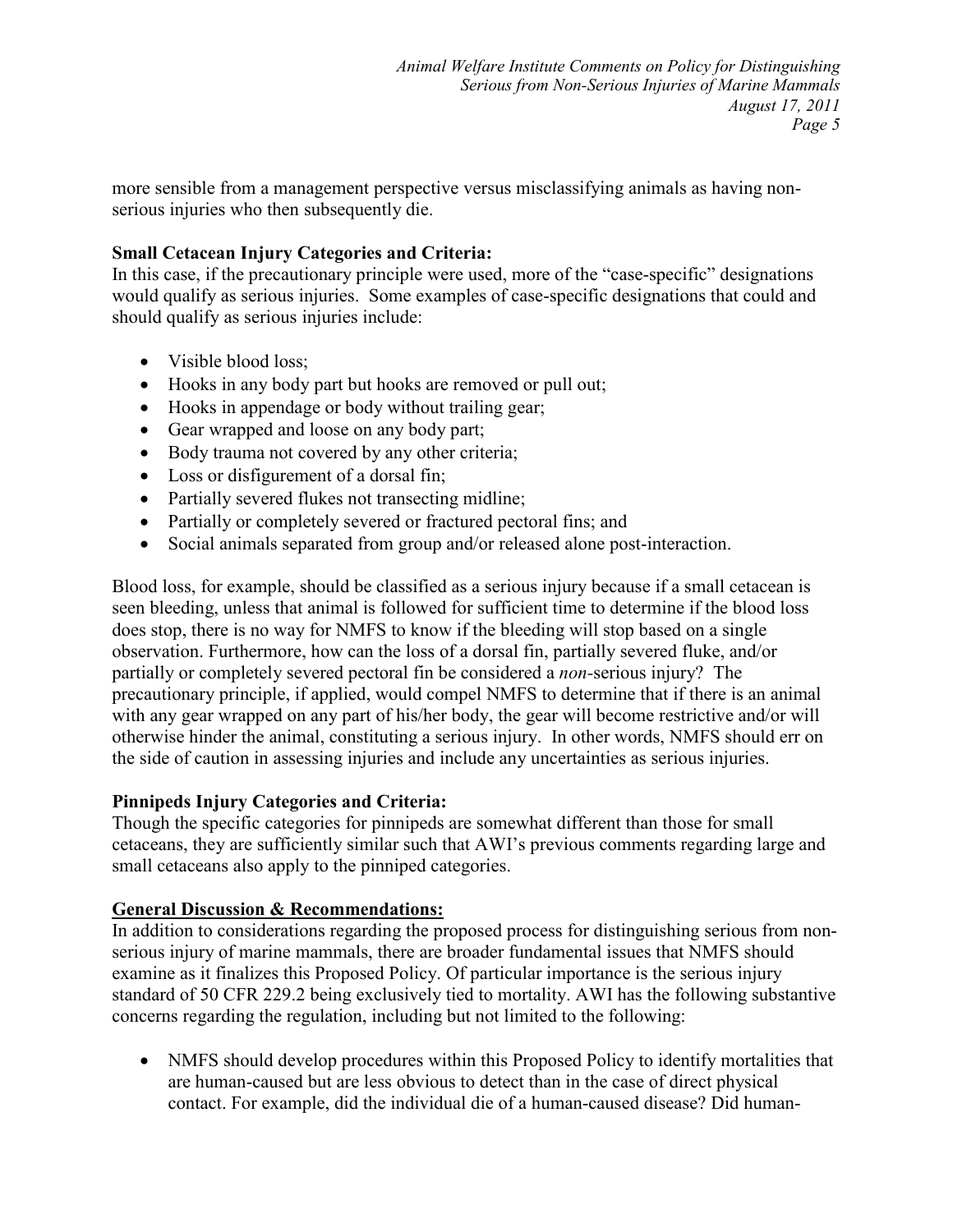more sensible from a management perspective versus misclassifying animals as having nonserious injuries who then subsequently die.

## **Small Cetacean Injury Categories and Criteria:**

In this case, if the precautionary principle were used, more of the "case-specific" designations would qualify as serious injuries. Some examples of case-specific designations that could and should qualify as serious injuries include:

- Visible blood loss:
- Hooks in any body part but hooks are removed or pull out;
- Hooks in appendage or body without trailing gear;
- Gear wrapped and loose on any body part;
- Body trauma not covered by any other criteria;
- Loss or disfigurement of a dorsal fin;
- Partially severed flukes not transecting midline;
- Partially or completely severed or fractured pectoral fins; and
- Social animals separated from group and/or released alone post-interaction.

Blood loss, for example, should be classified as a serious injury because if a small cetacean is seen bleeding, unless that animal is followed for sufficient time to determine if the blood loss does stop, there is no way for NMFS to know if the bleeding will stop based on a single observation. Furthermore, how can the loss of a dorsal fin, partially severed fluke, and/or partially or completely severed pectoral fin be considered a *non-*serious injury? The precautionary principle, if applied, would compel NMFS to determine that if there is an animal with any gear wrapped on any part of his/her body, the gear will become restrictive and/or will otherwise hinder the animal, constituting a serious injury. In other words, NMFS should err on the side of caution in assessing injuries and include any uncertainties as serious injuries.

#### **Pinnipeds Injury Categories and Criteria:**

Though the specific categories for pinnipeds are somewhat different than those for small cetaceans, they are sufficiently similar such that AWI's previous comments regarding large and small cetaceans also apply to the pinniped categories.

#### **General Discussion & Recommendations:**

In addition to considerations regarding the proposed process for distinguishing serious from nonserious injury of marine mammals, there are broader fundamental issues that NMFS should examine as it finalizes this Proposed Policy. Of particular importance is the serious injury standard of 50 CFR 229.2 being exclusively tied to mortality. AWI has the following substantive concerns regarding the regulation, including but not limited to the following:

• NMFS should develop procedures within this Proposed Policy to identify mortalities that are human-caused but are less obvious to detect than in the case of direct physical contact. For example, did the individual die of a human-caused disease? Did human-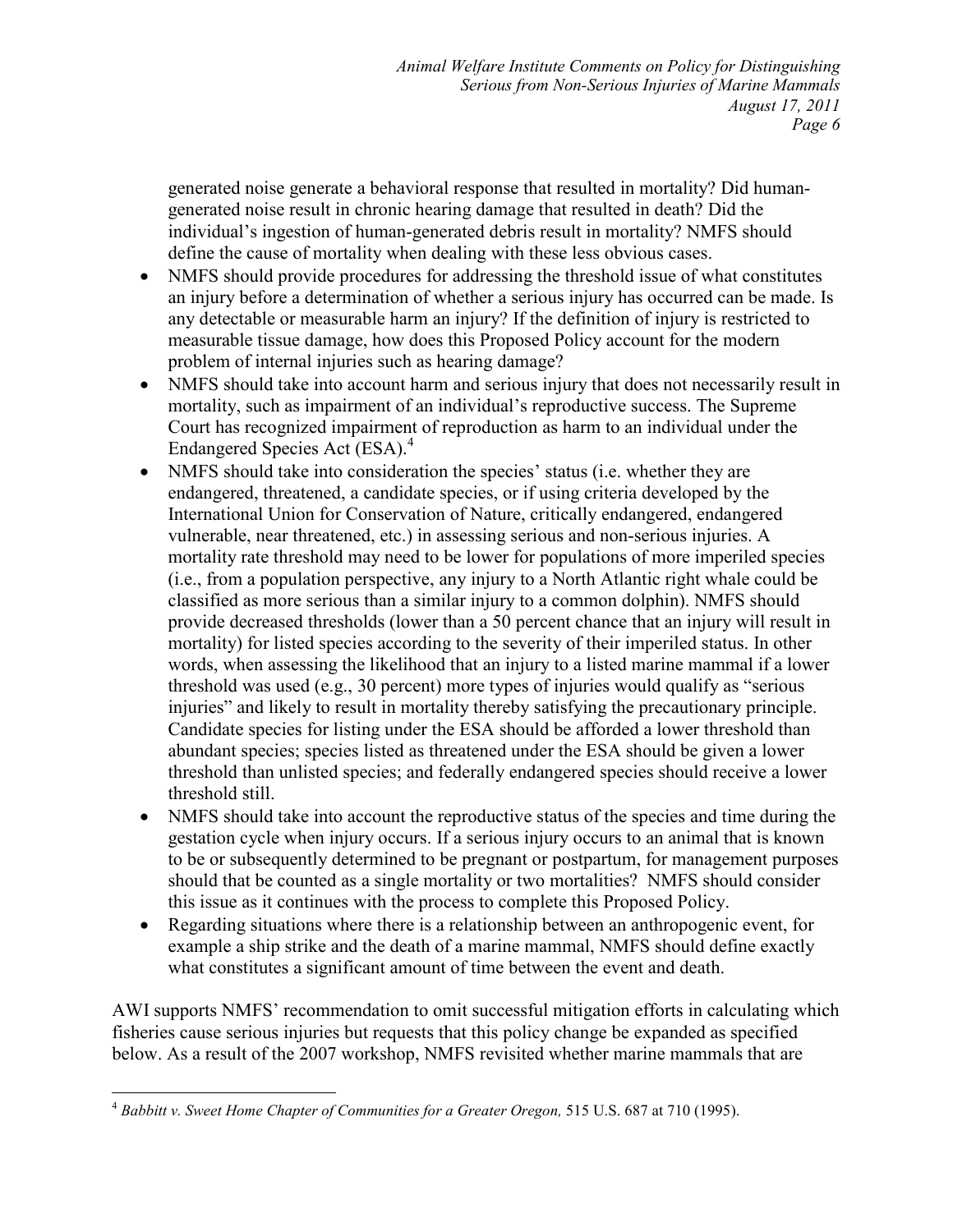generated noise generate a behavioral response that resulted in mortality? Did humangenerated noise result in chronic hearing damage that resulted in death? Did the individual's ingestion of human-generated debris result in mortality? NMFS should define the cause of mortality when dealing with these less obvious cases.

- NMFS should provide procedures for addressing the threshold issue of what constitutes an injury before a determination of whether a serious injury has occurred can be made. Is any detectable or measurable harm an injury? If the definition of injury is restricted to measurable tissue damage, how does this Proposed Policy account for the modern problem of internal injuries such as hearing damage?
- NMFS should take into account harm and serious injury that does not necessarily result in mortality, such as impairment of an individual's reproductive success. The Supreme Court has recognized impairment of reproduction as harm to an individual under the Endangered Species Act (ESA).<sup>4</sup>
- NMFS should take into consideration the species' status (i.e. whether they are endangered, threatened, a candidate species, or if using criteria developed by the International Union for Conservation of Nature, critically endangered, endangered vulnerable, near threatened, etc.) in assessing serious and non-serious injuries. A mortality rate threshold may need to be lower for populations of more imperiled species (i.e., from a population perspective, any injury to a North Atlantic right whale could be classified as more serious than a similar injury to a common dolphin). NMFS should provide decreased thresholds (lower than a 50 percent chance that an injury will result in mortality) for listed species according to the severity of their imperiled status. In other words, when assessing the likelihood that an injury to a listed marine mammal if a lower threshold was used (e.g., 30 percent) more types of injuries would qualify as "serious injuries" and likely to result in mortality thereby satisfying the precautionary principle. Candidate species for listing under the ESA should be afforded a lower threshold than abundant species; species listed as threatened under the ESA should be given a lower threshold than unlisted species; and federally endangered species should receive a lower threshold still.
- NMFS should take into account the reproductive status of the species and time during the gestation cycle when injury occurs. If a serious injury occurs to an animal that is known to be or subsequently determined to be pregnant or postpartum, for management purposes should that be counted as a single mortality or two mortalities? NMFS should consider this issue as it continues with the process to complete this Proposed Policy.
- Regarding situations where there is a relationship between an anthropogenic event, for example a ship strike and the death of a marine mammal, NMFS should define exactly what constitutes a significant amount of time between the event and death.

AWI supports NMFS' recommendation to omit successful mitigation efforts in calculating which fisheries cause serious injuries but requests that this policy change be expanded as specified below. As a result of the 2007 workshop, NMFS revisited whether marine mammals that are

<sup>&</sup>lt;u>.</u> <sup>4</sup> *Babbitt v. Sweet Home Chapter of Communities for a Greater Oregon,* 515 U.S. 687 at 710 (1995).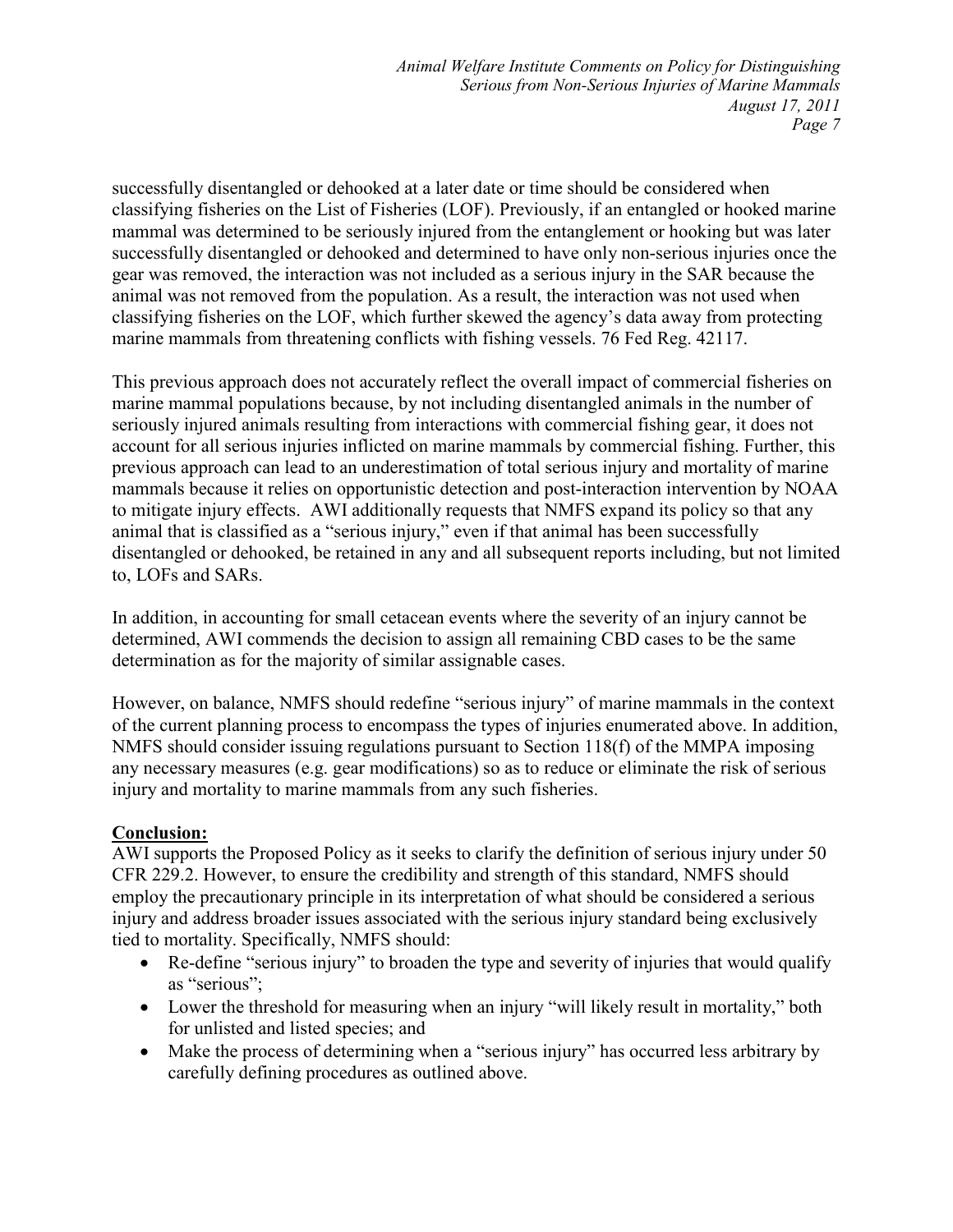*Animal Welfare Institute Comments on Policy for Distinguishing*  Serious from Non-Serious Injuries of Marine Mammals *August 17, 2011 Page 7* 

successfully disentangled or dehooked at a later date or time should be considered when classifying fisheries on the List of Fisheries (LOF). Previously, if an entangled or hooked marine mammal was determined to be seriously injured from the entanglement or hooking but was later successfully disentangled or dehooked and determined to have only non-serious injuries once the gear was removed, the interaction was not included as a serious injury in the SAR because the animal was not removed from the population. As a result, the interaction was not used when classifying fisheries on the LOF, which further skewed the agency's data away from protecting marine mammals from threatening conflicts with fishing vessels. 76 Fed Reg. 42117.

This previous approach does not accurately reflect the overall impact of commercial fisheries on marine mammal populations because, by not including disentangled animals in the number of seriously injured animals resulting from interactions with commercial fishing gear, it does not account for all serious injuries inflicted on marine mammals by commercial fishing. Further, this previous approach can lead to an underestimation of total serious injury and mortality of marine mammals because it relies on opportunistic detection and post-interaction intervention by NOAA to mitigate injury effects. AWI additionally requests that NMFS expand its policy so that any animal that is classified as a "serious injury," even if that animal has been successfully disentangled or dehooked, be retained in any and all subsequent reports including, but not limited to, LOFs and SARs.

In addition, in accounting for small cetacean events where the severity of an injury cannot be determined, AWI commends the decision to assign all remaining CBD cases to be the same determination as for the majority of similar assignable cases.

However, on balance, NMFS should redefine "serious injury" of marine mammals in the context of the current planning process to encompass the types of injuries enumerated above. In addition, NMFS should consider issuing regulations pursuant to Section 118(f) of the MMPA imposing any necessary measures (e.g. gear modifications) so as to reduce or eliminate the risk of serious injury and mortality to marine mammals from any such fisheries.

#### **Conclusion:**

AWI supports the Proposed Policy as it seeks to clarify the definition of serious injury under 50 CFR 229.2. However, to ensure the credibility and strength of this standard, NMFS should employ the precautionary principle in its interpretation of what should be considered a serious injury and address broader issues associated with the serious injury standard being exclusively tied to mortality. Specifically, NMFS should:

- Re-define "serious injury" to broaden the type and severity of injuries that would qualify as "serious";
- Lower the threshold for measuring when an injury "will likely result in mortality," both for unlisted and listed species; and
- Make the process of determining when a "serious injury" has occurred less arbitrary by carefully defining procedures as outlined above.